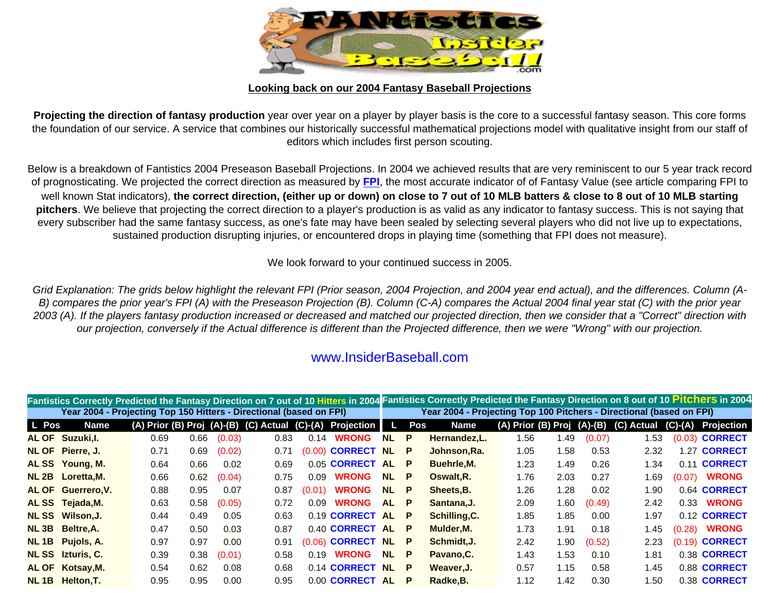

## **Looking back on our 2004 Fantasy Baseball Projections**

**Projecting the direction of fantasy production** year over year on a player by player basis is the core to a successful fantasy season. This core forms the foundation of our service. A service that combines our historically successful mathematical projections model with qualitative insight from our staff of editors which includes first person scouting.

Below is a breakdown of Fantistics 2004 Preseason Baseball Projections. In 2004 we achieved results that are very reminiscent to our 5 year track record of prognosticating. We projected the correct direction as measured by **[FPI](http://www.insiderbaseball.com/Angelo-v2.htm)**, the most accurate indicator of of Fantasy Value (see article comparing FPI to well known Stat indicators), **the correct direction, (either up or down) on close to 7 out of 10 MLB batters & close to 8 out of 10 MLB starting pitchers**. We believe that projecting the correct direction to a player's production is as valid as any indicator to fantasy success. This is not saying that every subscriber had the same fantasy success, as one's fate may have been sealed by selecting several players who did not live up to expectations, sustained production disrupting injuries, or encountered drops in playing time (something that FPI does not measure).

We look forward to your continued success in 2005.

*Grid Explanation: The grids below highlight the relevant FPI (Prior season, 2004 Projection, and 2004 year end actual), and the differences. Column (A-B) compares the prior year's FPI (A) with the Preseason Projection (B). Column (C-A) compares the Actual 2004 final year stat (C) with the prior year 2003 (A). If the players fantasy production increased or decreased and matched our projected direction, then we consider that a "Correct" direction with our projection, conversely if the Actual difference is different than the Projected difference, then we were "Wrong" with our projection.*

## www.InsiderBaseball.com

|       |                                                                     |      |      |        |      |        |                                                          |           |          | Fantistics Correctly Predicted the Fantasy Direction on 7 out of 10 Hitters in 2004 Fantistics Correctly Predicted the Fantasy Direction on 8 out of 10 Pitchers in 2004 |                            |      |        |            |        |                     |
|-------|---------------------------------------------------------------------|------|------|--------|------|--------|----------------------------------------------------------|-----------|----------|--------------------------------------------------------------------------------------------------------------------------------------------------------------------------|----------------------------|------|--------|------------|--------|---------------------|
|       | Year 2004 - Projecting Top 150 Hitters - Directional (based on FPI) |      |      |        |      |        |                                                          |           |          | Year 2004 - Projecting Top 100 Pitchers - Directional (based on FPI)                                                                                                     |                            |      |        |            |        |                     |
| L Pos | <b>Name</b>                                                         |      |      |        |      |        | (A) Prior (B) Proj (A)-(B) (C) Actual (C)-(A) Projection |           | Pos      | <b>Name</b>                                                                                                                                                              | (A) Prior (B) Proj (A)-(B) |      |        | (C) Actual |        | (C)-(A) Projection  |
|       | <b>AL OF Suzuki, I.</b>                                             | 0.69 | 0.66 | (0.03) | 0.83 | 0.14   | <b>WRONG</b>                                             | <b>NL</b> | <b>P</b> | Hernandez, L.                                                                                                                                                            | 1.56                       | 1.49 | (0.07) | 1.53       |        | $(0.03)$ CORRECT    |
|       | NL OF Pierre, J.                                                    | 0.71 | 0.69 | (0.02) | 0.71 | (0.00) | <b>CORRECT</b>                                           | <b>NL</b> | P        | Johnson, Ra.                                                                                                                                                             | 1.05                       | 1.58 | 0.53   | 2.32       |        | 1.27 CORRECT        |
|       | ALSS Young, M.                                                      | 0.64 | 0.66 | 0.02   | 0.69 |        | 0.05 CORRECT AL                                          |           | P        | Buehrle, M.                                                                                                                                                              | 1.23                       | 1.49 | 0.26   | 1.34       |        | 0.11 CORRECT        |
|       | NL 2B Loretta, M.                                                   | 0.66 | 0.62 | (0.04) | 0.75 | 0.09   | <b>WRONG</b>                                             | NL.       | <b>P</b> | Oswalt, R.                                                                                                                                                               | 1.76                       | 2.03 | 0.27   | 1.69       | (0.07) | <b>WRONG</b>        |
|       | <b>AL OF Guerrero, V.</b>                                           | 0.88 | 0.95 | 0.07   | 0.87 | (0.01) | <b>WRONG</b>                                             | <b>NL</b> | P        | Sheets, B.                                                                                                                                                               | 1.26                       | 1.28 | 0.02   | 1.90       |        | 0.64 <b>CORRECT</b> |
|       | ALSS Tejada, M.                                                     | 0.63 | 0.58 | (0.05) | 0.72 | 0.09   | <b>WRONG</b>                                             | <b>AL</b> | P        | Santana, J.                                                                                                                                                              | 2.09                       | 1.60 | (0.49) | 2.42       |        | 0.33 <b>WRONG</b>   |
|       | NL SS Wilson, J.                                                    | 0.44 | 0.49 | 0.05   | 0.63 |        | 0.19 CORRECT AL                                          |           | P        | Schilling, C.                                                                                                                                                            | 1.85                       | 1.85 | 0.00   | 1.97       |        | 0.12 CORRECT        |
|       | NL 3B Beltre, A.                                                    | 0.47 | 0.50 | 0.03   | 0.87 |        | 0.40 CORRECT AL                                          |           | P        | Mulder, M.                                                                                                                                                               | 1.73                       | 1.91 | 0.18   | 1.45       |        | (0.28) <b>WRONG</b> |
|       | NL 1B Pujols, A.                                                    | 0.97 | 0.97 | 0.00   | 0.91 | (0.06) | <b>CORRECT NL</b>                                        |           | P        | Schmidt, J.                                                                                                                                                              | 2.42                       | 1.90 | (0.52) | 2.23       |        | $(0.19)$ CORRECT    |
|       | <b>NL SS</b> Izturis, C.                                            | 0.39 | 0.38 | (0.01) | 0.58 | 0.19   | <b>WRONG</b>                                             | <b>NL</b> | P        | Pavano, C.                                                                                                                                                               | 1.43                       | 1.53 | 0.10   | 1.81       |        | 0.38 CORRECT        |
|       | AL OF Kotsay, M.                                                    | 0.54 | 0.62 | 0.08   | 0.68 |        | 0.14 CORRECT NL                                          |           | P        | Weaver.J.                                                                                                                                                                | 0.57                       | 1.15 | 0.58   | 1.45       |        | 0.88 CORRECT        |
|       | NL 1B Helton, T.                                                    | 0.95 | 0.95 | 0.00   | 0.95 |        | 0.00 CORRECT AL                                          |           | P        | Radke, B.                                                                                                                                                                | 1.12                       | 1.42 | 0.30   | 1.50       |        | 0.38 CORRECT        |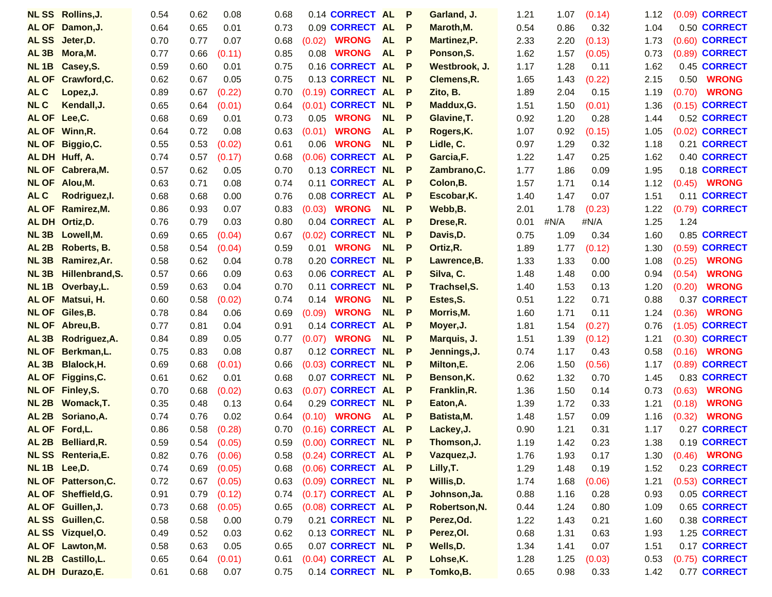|                   | <b>NL SS</b> Rollins, J.      | 0.54         | 0.62         | 0.08            | 0.68         |        | 0.14 CORRECT AL                          |           | P            | Garland, J.               | 1.21         | 1.07         | (0.14)       | 1.12         |        | (0.09) <b>CORRECT</b>        |
|-------------------|-------------------------------|--------------|--------------|-----------------|--------------|--------|------------------------------------------|-----------|--------------|---------------------------|--------------|--------------|--------------|--------------|--------|------------------------------|
|                   | AL OF Damon, J.               | 0.64         | 0.65         | 0.01            | 0.73         |        | 0.09 CORRECT AL                          |           | P            | Maroth, M.                | 0.54         | 0.86         | 0.32         | 1.04         |        | 0.50 CORRECT                 |
| <b>ALSS</b>       | Jeter, D.                     | 0.70         | 0.77         | 0.07            | 0.68         | (0.02) | <b>WRONG</b>                             | <b>AL</b> | P            | <b>Martinez, P.</b>       | 2.33         | 2.20         | (0.13)       | 1.73         |        | (0.60) <b>CORRECT</b>        |
| AL <sub>3B</sub>  | Mora, M.                      | 0.77         | 0.66         | (0.11)          | 0.85         | 0.08   | <b>WRONG</b>                             | <b>AL</b> | P            | Ponson, S.                | 1.62         | 1.57         | (0.05)       | 0.73         |        | (0.89) <b>CORRECT</b>        |
| <b>NL1B</b>       | Casey, S.                     | 0.59         | 0.60         | 0.01            | 0.75         |        | 0.16 CORRECT AL                          |           | P            | Westbrook, J.             | 1.17         | 1.28         | 0.11         | 1.62         |        | 0.45 CORRECT                 |
| <b>AL OF</b>      | Crawford, C.                  | 0.62         | 0.67         | 0.05            | 0.75         |        | 0.13 CORRECT NL                          |           | P            | Clemens, R.               | 1.65         | 1.43         | (0.22)       | 2.15         | 0.50   | <b>WRONG</b>                 |
| <b>ALC</b>        | Lopez, J.                     | 0.89         | 0.67         | (0.22)          | 0.70         |        | (0.19) CORRECT AL                        |           | P            | Zito, B.                  | 1.89         | 2.04         | 0.15         | 1.19         | (0.70) | <b>WRONG</b>                 |
| <b>NLC</b>        | Kendall, J.                   | 0.65         | 0.64         | (0.01)          | 0.64         |        | (0.01) CORRECT NL                        |           | . P          | Maddux, G.                | 1.51         | 1.50         | (0.01)       | 1.36         |        | (0.15) <b>CORRECT</b>        |
| AL OF Lee, C.     |                               | 0.68         | 0.69         | 0.01            | 0.73         | 0.05   | <b>WRONG</b>                             | <b>NL</b> | P            | Glavine, T.               | 0.92         | 1.20         | 0.28         | 1.44         |        | 0.52 CORRECT                 |
|                   | AL OF Winn, R.                | 0.64         | 0.72         | 0.08            | 0.63         | (0.01) | <b>WRONG</b>                             | <b>AL</b> | P            | Rogers, K.                | 1.07         | 0.92         | (0.15)       | 1.05         |        | (0.02) <b>CORRECT</b>        |
| <b>NL OF</b>      | Biggio, C.                    | 0.55         | 0.53         | (0.02)          | 0.61         | 0.06   | <b>WRONG</b>                             | NL        | P            | Lidle, C.                 | 0.97         | 1.29         | 0.32         | 1.18         |        | 0.21 CORRECT                 |
|                   | AL DH Huff, A.                | 0.74         | 0.57         | (0.17)          | 0.68         |        | (0.06) <b>CORRECT</b>                    | <b>AL</b> | P            | Garcia, F.                | 1.22         | 1.47         | 0.25         | 1.62         |        | 0.40 CORRECT                 |
|                   | NL OF Cabrera, M.             | 0.57         | 0.62         | 0.05            | 0.70         |        | 0.13 CORRECT NL                          |           | P            | Zambrano, C.              | 1.77         | 1.86         | 0.09         | 1.95         |        | 0.18 CORRECT                 |
| <b>NL OF</b>      | Alou,M.                       | 0.63         | 0.71         | 0.08            | 0.74         |        | 0.11 CORRECT AL                          |           | P            | Colon, B.                 | 1.57         | 1.71         | 0.14         | 1.12         | (0.45) | <b>WRONG</b>                 |
| <b>ALC</b>        | Rodriguez, I.                 | 0.68         | 0.68         | 0.00            | 0.76         |        | 0.08 CORRECT AL                          |           | P            | Escobar, K.               | 1.40         | 1.47         | 0.07         | 1.51         | 0.11   | <b>CORRECT</b>               |
| <b>AL OF</b>      | Ramirez, M.                   | 0.86         | 0.93         | 0.07            | 0.83         |        | (0.03) <b>WRONG</b>                      | <b>NL</b> | P            | Webb, B.                  | 2.01         | 1.78         | (0.23)       | 1.22         |        | (0.79) <b>CORRECT</b>        |
| <b>AL DH</b>      | Ortiz, D.                     | 0.76         | 0.79         | 0.03            | 0.80         |        | 0.04 CORRECT                             | <b>AL</b> | P            | Drese, R.                 | 0.01         | #N/A         | #N/A         | 1.25         | 1.24   |                              |
| NL3B              | Lowell, M.                    | 0.69         | 0.65         | (0.04)          | 0.67         |        | (0.02) CORRECT NL                        |           | P            | Davis, D.                 | 0.75         | 1.09         | 0.34         | 1.60         |        | 0.85 CORRECT                 |
| AL <sub>2B</sub>  | Roberts, B.                   | 0.58         | 0.54         | (0.04)          | 0.59         |        | 0.01 <b>WRONG</b>                        | <b>NL</b> | P            | Ortiz, R.                 | 1.89         | 1.77         | (0.12)       | 1.30         |        | (0.59) <b>CORRECT</b>        |
| NL3B              | Ramirez, Ar.                  | 0.58         | 0.62         | 0.04            | 0.78         |        | 0.20 CORRECT NL                          |           | P            | Lawrence, B.              | 1.33         | 1.33         | 0.00         | 1.08         | (0.25) | <b>WRONG</b>                 |
| NL3B              | Hillenbrand, S.               | 0.57         | 0.66         | 0.09            | 0.63         |        | 0.06 CORRECT AL                          |           | P            | Silva, C.                 | 1.48         | 1.48         | 0.00         | 0.94         | (0.54) | <b>WRONG</b>                 |
| <b>NL1B</b>       | Overbay, L.                   | 0.59         | 0.63         | 0.04            | 0.70         |        | 0.11 CORRECT NL                          |           | P            | Trachsel, S.              | 1.40         | 1.53         | 0.13         | 1.20         | (0.20) | <b>WRONG</b>                 |
| <b>AL OF</b>      | Matsui, H.                    | 0.60         | 0.58         | (0.02)          | 0.74         | 0.14   | <b>WRONG</b>                             | <b>NL</b> | P            | Estes, S.                 | 0.51         | 1.22         | 0.71         | 0.88         | 0.37   | <b>CORRECT</b>               |
|                   | NL OF Giles, B.               | 0.78         | 0.84         | 0.06            | 0.69         | (0.09) | <b>WRONG</b>                             | <b>NL</b> | P            | Morris, M.                | 1.60         | 1.71         | 0.11         | 1.24         | (0.36) | <b>WRONG</b>                 |
| <b>NL OF</b>      | Abreu, B.                     | 0.77         | 0.81         | 0.04            | 0.91         |        | 0.14 CORRECT AL                          |           | P            | Moyer, J.                 | 1.81         | 1.54         | (0.27)       | 0.76         | (1.05) | <b>CORRECT</b>               |
| AL <sub>3B</sub>  | Rodriguez, A.                 | 0.84         | 0.89         | 0.05            | 0.77         |        | $(0.07)$ WRONG                           | <b>NL</b> | P            | Marquis, J.               | 1.51         | 1.39         | (0.12)       | 1.21         |        | (0.30) <b>CORRECT</b>        |
| <b>NL OF</b>      | Berkman, L.                   | 0.75         | 0.83         | 0.08            | 0.87         |        | 0.12 CORRECT NL                          |           | P            | Jennings, J.              | 0.74         | 1.17         | 0.43         | 0.58         | (0.16) | <b>WRONG</b>                 |
| AL <sub>3</sub> B | <b>Blalock, H.</b>            | 0.69         | 0.68         | (0.01)          | 0.66         |        | (0.03) CORRECT NL                        |           | P            | Milton, E.                | 2.06         | 1.50         | (0.56)       | 1.17         |        | (0.89) <b>CORRECT</b>        |
| <b>AL OF</b>      | Figgins, C.                   | 0.61         | 0.62         | 0.01            | 0.68         |        | 0.07 CORRECT NL                          |           | P            | Benson, K.                | 0.62         | 1.32         | 0.70         | 1.45         |        | 0.83 CORRECT                 |
| <b>NL OF</b>      | Finley, S.                    | 0.70         | 0.68         | (0.02)          | 0.63         |        | (0.07) CORRECT AL                        |           | P            | Franklin, R.              | 1.36         | 1.50         | 0.14         | 0.73         | (0.63) | <b>WRONG</b>                 |
| NL2B              | Womack, T.                    | 0.35         | 0.48         | 0.13            | 0.64         |        | 0.29 CORRECT NL                          |           | P            | Eaton, A.                 | 1.39         | 1.72         | 0.33         | 1.21         | (0.18) | <b>WRONG</b>                 |
| AL <sub>2B</sub>  | Soriano, A.<br>AL OF Ford, L. | 0.74<br>0.86 | 0.76<br>0.58 | 0.02<br>(0.28)  | 0.64<br>0.70 |        | (0.10) <b>WRONG</b><br>(0.16) CORRECT AL | <b>AL</b> | P<br>P       | Batista, M.<br>Lackey, J. | 1.48<br>0.90 | 1.57<br>1.21 | 0.09<br>0.31 | 1.16<br>1.17 | (0.32) | <b>WRONG</b><br>0.27 CORRECT |
|                   | AL 2B Belliard, R.            | 0.59         |              | $0.54$ $(0.05)$ | 0.59         |        | $(0.00)$ CORRECT NL                      |           | $\mathsf{P}$ | Thomson, J.               | 1.19         | 1.42         | 0.23         | 1.38         |        | 0.19 CORRECT                 |
|                   | <b>NL SS</b> Renteria, E.     | 0.82         | 0.76         | (0.06)          | 0.58         |        | $(0.24)$ CORRECT AL P                    |           |              | Vazquez, J.               | 1.76         | 1.93         | 0.17         | 1.30         |        | $(0.46)$ WRONG               |
|                   | NL 1B Lee, D.                 | 0.74         | 0.69         | (0.05)          | 0.68         |        | $(0.06)$ CORRECT AL P                    |           |              | Lilly, T.                 | 1.29         | 1.48         | 0.19         | 1.52         |        | 0.23 CORRECT                 |
|                   | <b>NL OF Patterson, C.</b>    | 0.72         | 0.67         | (0.05)          | 0.63         |        | $(0.09)$ CORRECT NL P                    |           |              | Willis, D.                | 1.74         | 1.68         | (0.06)       | 1.21         |        | $(0.53)$ CORRECT             |
|                   | AL OF Sheffield, G.           | 0.91         | 0.79         | (0.12)          | 0.74         |        | $(0.17)$ CORRECT AL P                    |           |              | Johnson, Ja.              | 0.88         | 1.16         | 0.28         | 0.93         |        | 0.05 CORRECT                 |
|                   | AL OF Guillen, J.             | 0.73         | 0.68         | (0.05)          | 0.65         |        | (0.08) CORRECT AL P                      |           |              | Robertson, N.             | 0.44         | 1.24         | 0.80         | 1.09         |        | 0.65 CORRECT                 |
|                   | ALSS Guillen, C.              | 0.58         | 0.58         | 0.00            | 0.79         |        | 0.21 CORRECT NL P                        |           |              | Perez, Od.                | 1.22         | 1.43         | 0.21         | 1.60         |        | 0.38 CORRECT                 |
|                   | ALSS Vizquel, O.              | 0.49         | 0.52         | 0.03            | 0.62         |        | 0.13 CORRECT NL P                        |           |              | Perez, OI.                | 0.68         | 1.31         | 0.63         | 1.93         |        | 1.25 CORRECT                 |
|                   | <b>AL OF Lawton, M.</b>       | 0.58         | 0.63         | 0.05            | 0.65         |        | 0.07 CORRECT NL P                        |           |              | Wells, D.                 | 1.34         | 1.41         | 0.07         | 1.51         |        | 0.17 CORRECT                 |
|                   | NL 2B Castillo, L.            | 0.65         | 0.64         | (0.01)          | 0.61         |        | (0.04) CORRECT AL P                      |           |              | Lohse, K.                 | 1.28         | 1.25         | (0.03)       | 0.53         |        | (0.75) <b>CORRECT</b>        |
|                   | AL DH Durazo, E.              | 0.61         | 0.68         | 0.07            | 0.75         |        | 0.14 CORRECT NL P                        |           |              | Tomko, B.                 | 0.65         | 0.98         | 0.33         | 1.42         |        | 0.77 CORRECT                 |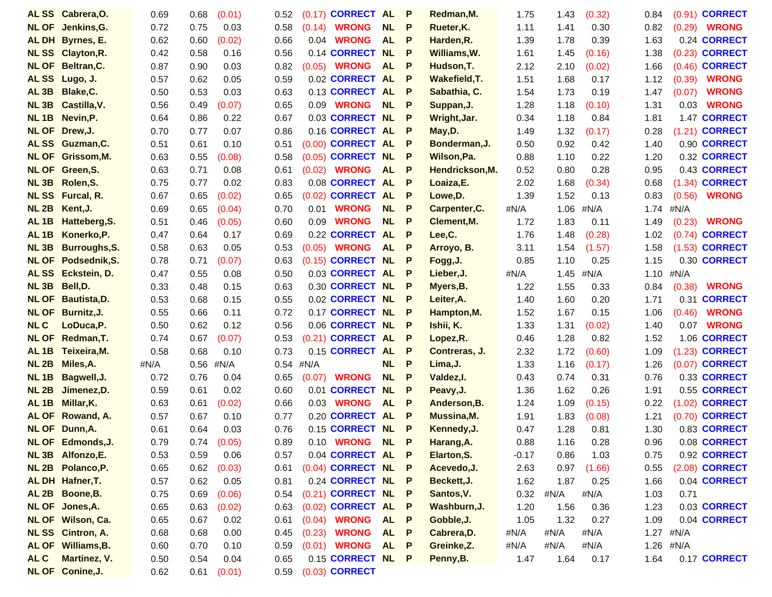|                  | ALSS Cabrera, O.             | 0.69         | 0.68         | (0.01)         | 0.52         |        | (0.17) CORRECT AL                  |           | P      | Redman, M.                 | 1.75         | 1.43         | (0.32)         | 0.84         |           | (0.91) <b>CORRECT</b>                 |
|------------------|------------------------------|--------------|--------------|----------------|--------------|--------|------------------------------------|-----------|--------|----------------------------|--------------|--------------|----------------|--------------|-----------|---------------------------------------|
| <b>NL OF</b>     | Jenkins, G.                  | 0.72         | 0.75         | 0.03           | 0.58         | (0.14) | <b>WRONG</b>                       | NL        | P      | Rueter, K.                 | 1.11         | 1.41         | 0.30           | 0.82         | (0.29)    | <b>WRONG</b>                          |
|                  | <b>AL DH</b> Byrnes, E.      | 0.62         | 0.60         | (0.02)         | 0.66         | 0.04   | <b>WRONG</b>                       | <b>AL</b> | P      | Harden, R.                 | 1.39         | 1.78         | 0.39           | 1.63         |           | 0.24 CORRECT                          |
| <b>NLSS</b>      | <b>Clayton, R.</b>           | 0.42         | 0.58         | 0.16           | 0.56         |        | 0.14 <b>CORRECT</b>                | <b>NL</b> | P      | Williams, W.               | 1.61         | 1.45         | (0.16)         | 1.38         |           | (0.23) <b>CORRECT</b>                 |
| <b>NL OF</b>     | Beltran, C.                  | 0.87         | 0.90         | 0.03           | 0.82         | (0.05) | <b>WRONG</b>                       | <b>AL</b> | P      | Hudson, T.                 | 2.12         | 2.10         | (0.02)         | 1.66         | (0.46)    | <b>CORRECT</b>                        |
| <b>ALSS</b>      | Lugo, J.                     | 0.57         | 0.62         | 0.05           | 0.59         |        | 0.02 CORRECT AL                    |           | P      | Wakefield, T.              | 1.51         | 1.68         | 0.17           | 1.12         | (0.39)    | <b>WRONG</b>                          |
| AL <sub>3B</sub> | Blake, C.                    | 0.50         | 0.53         | 0.03           | 0.63         |        | 0.13 CORRECT AL                    |           | P      | Sabathia, C.               | 1.54         | 1.73         | 0.19           | 1.47         | (0.07)    | <b>WRONG</b>                          |
| NL3B             | Castilla, V.                 | 0.56         | 0.49         | (0.07)         | 0.65         |        | 0.09 <b>WRONG</b>                  | <b>NL</b> | P      | Suppan, J.                 | 1.28         | 1.18         | (0.10)         | 1.31         | 0.03      | <b>WRONG</b>                          |
| NL1B             | Nevin, P.                    | 0.64         | 0.86         | 0.22           | 0.67         |        | 0.03 CORRECT NL                    |           | P      | Wright, Jar.               | 0.34         | 1.18         | 0.84           | 1.81         |           | 1.47 CORRECT                          |
|                  | NL OF Drew, J.               | 0.70         | 0.77         | 0.07           | 0.86         |        | 0.16 CORRECT AL                    |           | P      | May, D.                    | 1.49         | 1.32         | (0.17)         | 0.28         |           | (1.21) <b>CORRECT</b>                 |
| <b>ALSS</b>      | Guzman, C.                   | 0.51         | 0.61         | 0.10           | 0.51         |        | (0.00) CORRECT AL                  |           | P      | Bonderman, J.              | 0.50         | 0.92         | 0.42           | 1.40         |           | 0.90 CORRECT                          |
| <b>NL OF</b>     | Grissom, M.                  | 0.63         | 0.55         | (0.08)         | 0.58         |        | $(0.05)$ CORRECT                   | <b>NL</b> | P      | Wilson, Pa.                | 0.88         | 1.10         | 0.22           | 1.20         |           | 0.32 CORRECT                          |
| <b>NL OF</b>     | Green, S.                    | 0.63         | 0.71         | 0.08           | 0.61         | (0.02) | <b>WRONG</b>                       | <b>AL</b> | P      | Hendrickson, M.            | 0.52         | 0.80         | 0.28           | 0.95         |           | 0.43 CORRECT                          |
| NL3B             | Rolen, S.                    | 0.75         | 0.77         | 0.02           | 0.83         |        | 0.08 CORRECT AL                    |           | P      | Loaiza,E.                  | 2.02         | 1.68         | (0.34)         | 0.68         |           | (1.34) <b>CORRECT</b>                 |
| <b>NLSS</b>      | Furcal, R.                   | 0.67         | 0.65         | (0.02)         | 0.65         |        | (0.02) CORRECT AL                  |           | P      | Lowe, D.                   | 1.39         | 1.52         | 0.13           | 0.83         | (0.56)    | <b>WRONG</b>                          |
| NL2B             | Kent, J.                     | 0.69         | 0.65         | (0.04)         | 0.70         | 0.01   | <b>WRONG</b>                       | <b>NL</b> | P      | Carpenter, C.              | #N/A         | 1.06         | #N/A           | 1.74         | #N/A      |                                       |
| AL <sub>1B</sub> | Hatteberg, S.                | 0.51         | 0.46         | (0.05)         | 0.60         | 0.09   | <b>WRONG</b>                       | <b>NL</b> | P      | Clement, M.                | 1.72         | 1.83         | 0.11           | 1.49         | (0.23)    | <b>WRONG</b>                          |
| AL <sub>1B</sub> | Konerko, P.                  | 0.47         | 0.64         | 0.17           | 0.69         |        | 0.22 CORRECT AL                    |           | P      | Lee,C.                     | 1.76         | 1.48         | (0.28)         | 1.02         |           | $(0.74)$ CORRECT                      |
| NL <sub>3B</sub> | <b>Burroughs, S.</b>         | 0.58         | 0.63         | 0.05           | 0.53         | (0.05) | <b>WRONG</b>                       | <b>AL</b> | P      | Arroyo, B.                 | 3.11         | 1.54         | (1.57)         | 1.58         |           | (1.53) <b>CORRECT</b>                 |
| <b>NL OF</b>     | Podsednik, S.                | 0.78         | 0.71         | (0.07)         | 0.63         |        | (0.15) CORRECT NL                  |           | P      | Fogg, J.                   | 0.85         | 1.10         | 0.25           | 1.15         |           | 0.30 CORRECT                          |
| <b>ALSS</b>      | Eckstein, D.                 | 0.47         | 0.55         | 0.08           | 0.50         |        | 0.03 CORRECT AL                    |           | P      | Lieber, J.                 | #N/A         | 1.45         | #N/A           | 1.10         | #N/A      |                                       |
| <b>NL 3B</b>     | Bell, D.                     | 0.33         | 0.48         | 0.15           | 0.63         |        | 0.30 CORRECT NL                    |           | P      | Myers, B.                  | 1.22         | 1.55         | 0.33           | 0.84         | (0.38)    | <b>WRONG</b>                          |
| <b>NL OF</b>     | Bautista, D.                 | 0.53         | 0.68         | 0.15           | 0.55         |        | 0.02 CORRECT NL                    |           | P      | Leiter, A.                 | 1.40         | 1.60         | 0.20           | 1.71         |           | 0.31 CORRECT                          |
| <b>NL OF</b>     | Burnitz, J.                  | 0.55         | 0.66         | 0.11           | 0.72         |        | 0.17 CORRECT NL                    |           | P      | Hampton, M.                | 1.52         | 1.67         | 0.15           | 1.06         | (0.46)    | <b>WRONG</b>                          |
| <b>NLC</b>       | LoDuca, P.                   | 0.50         | 0.62         | 0.12           | 0.56         |        | 0.06 CORRECT NL                    |           | P      | Ishii, K.                  | 1.33         | 1.31         | (0.02)         | 1.40         | 0.07      | <b>WRONG</b>                          |
| <b>NL OF</b>     | Redman, T.                   | 0.74         | 0.67         | (0.07)         | 0.53         |        | (0.21) CORRECT AL                  |           | P      | Lopez, R.                  | 0.46         | 1.28         | 0.82           | 1.52         |           | 1.06 CORRECT                          |
| AL <sub>1B</sub> | Teixeira, M.                 | 0.58         | 0.68         | 0.10           | 0.73         |        | 0.15 CORRECT AL                    |           | P      | Contreras, J.              | 2.32         | 1.72         | (0.60)         | 1.09         |           | (1.23) <b>CORRECT</b>                 |
| NL2B             | Miles, A.                    | #N/A         |              | $0.56$ #N/A    | 0.54         | #N/A   |                                    | <b>NL</b> | P      | Lima, J.                   | 1.33         | 1.16         | (0.17)         | 1.26         |           | (0.07) CORRECT                        |
| NL1B             | Bagwell, J.                  | 0.72         | 0.76         | 0.04           | 0.65         | (0.07) | <b>WRONG</b>                       | <b>NL</b> | P      | Valdez, I.                 | 0.43         | 0.74         | 0.31           | 0.76         |           | 0.33 CORRECT                          |
| NL2B             | Jimenez, D.                  | 0.59         | 0.61         | 0.02           | 0.60         |        | 0.01 CORRECT                       | <b>NL</b> | P      | Peavy, J.                  | 1.36         | 1.62         | 0.26           | 1.91         |           | 0.55 CORRECT                          |
| AL <sub>1B</sub> | Millar, K.                   | 0.63         | 0.61         | (0.02)         | 0.66         | 0.03   | <b>WRONG</b>                       | <b>AL</b> | P      | Anderson, B.               | 1.24         | 1.09         | (0.15)         | 0.22         |           | (1.02) <b>CORRECT</b>                 |
| <b>AL OF</b>     | Rowand, A.<br>NL OF Dunn, A. | 0.57<br>0.61 | 0.67<br>0.64 | 0.10<br>0.03   | 0.77<br>0.76 |        | 0.20 CORRECT AL<br>0.15 CORRECT NL |           | P<br>P | Mussina, M.<br>Kennedy, J. | 1.91<br>0.47 | 1.83<br>1.28 | (0.08)<br>0.81 | 1.21<br>1.30 |           | (0.70) <b>CORRECT</b><br>0.83 CORRECT |
|                  | <b>NL OF Edmonds, J.</b>     | 0.79         |              |                | 0.89         |        | 0.10 <b>WRONG NL</b>               |           | P      | Harang, A.                 | 0.88         | 1.16         | 0.28           | 0.96         |           | 0.08 CORRECT                          |
|                  | NL 3B Alfonzo, E.            | 0.53         | 0.74<br>0.59 | (0.05)<br>0.06 | 0.57         |        | 0.04 CORRECT AL P                  |           |        | Elarton, S.                | $-0.17$      | 0.86         | 1.03           | 0.75         |           | 0.92 CORRECT                          |
|                  | NL 2B Polanco, P.            | 0.65         | 0.62         | (0.03)         | 0.61         |        | $(0.04)$ CORRECT NL P              |           |        | Acevedo, J.                | 2.63         | 0.97         | (1.66)         | 0.55         |           | (2.08) <b>CORRECT</b>                 |
|                  | AL DH Hafner, T.             | 0.57         | 0.62         | 0.05           | 0.81         |        | 0.24 CORRECT NL P                  |           |        | Beckett, J.                | 1.62         | 1.87         | 0.25           | 1.66         |           | 0.04 CORRECT                          |
|                  | AL 2B Boone, B.              | 0.75         | 0.69         | (0.06)         | 0.54         |        | (0.21) CORRECT NL P                |           |        | Santos, V.                 | 0.32         | #N/A         | #N/A           | 1.03         | 0.71      |                                       |
|                  | NL OF Jones, A.              | 0.65         | 0.63         | (0.02)         | 0.63         |        | $(0.02)$ CORRECT AL P              |           |        | Washburn, J.               | 1.20         | 1.56         | 0.36           | 1.23         |           | 0.03 CORRECT                          |
|                  | <b>NL OF Wilson, Ca.</b>     | 0.65         | 0.67         | 0.02           | 0.61         |        | $(0.04)$ WRONG AL P                |           |        | Gobble, J.                 | 1.05         | 1.32         | 0.27           | 1.09         |           | 0.04 CORRECT                          |
|                  | <b>NL SS</b> Cintron, A.     | 0.68         | 0.68         | 0.00           | 0.45         | (0.23) | <b>WRONG</b>                       | AL P      |        | Cabrera, D.                | #N/A         | #N/A         | #N/A           |              | 1.27 #N/A |                                       |
|                  | AL OF Williams, B.           | 0.60         | 0.70         | 0.10           | 0.59         |        | $(0.01)$ WRONG AL P                |           |        | Greinke, Z.                | #N/A         | #N/A         | #N/A           |              | 1.26 #N/A |                                       |
| AL C             | Martinez, V.                 | 0.50         | 0.54         | 0.04           | 0.65         |        | 0.15 CORRECT NL P                  |           |        | Penny, B.                  | 1.47         | 1.64         | 0.17           | 1.64         |           | 0.17 CORRECT                          |
|                  | <b>NL OF Conine, J.</b>      | 0.62         | 0.61         | (0.01)         | 0.59         |        | (0.03) <b>CORRECT</b>              |           |        |                            |              |              |                |              |           |                                       |
|                  |                              |              |              |                |              |        |                                    |           |        |                            |              |              |                |              |           |                                       |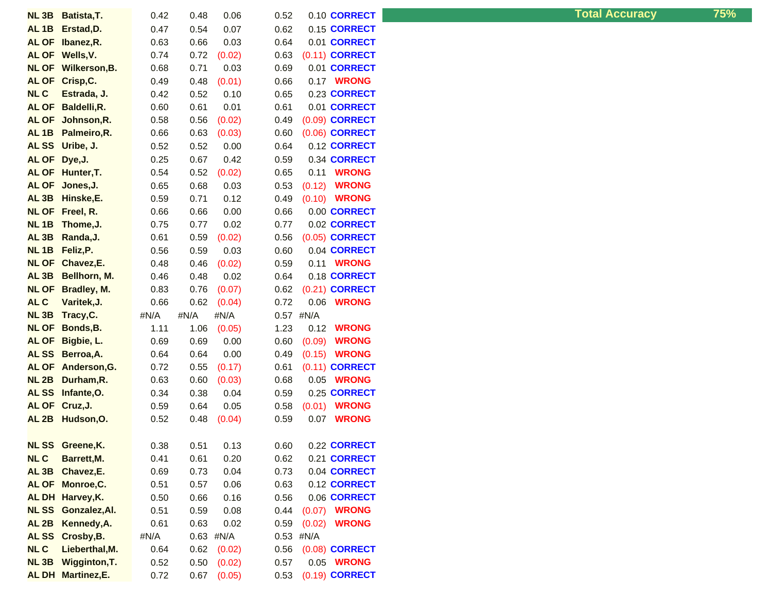| <b>NL3B</b>                      | Batista, T.                  | 0.42         | 0.48         | 0.06             | 0.52         | 0.10 CORRECT                          |  |
|----------------------------------|------------------------------|--------------|--------------|------------------|--------------|---------------------------------------|--|
| AL <sub>1B</sub>                 | Erstad, D.                   | 0.47         | 0.54         | 0.07             | 0.62         | 0.15 CORRECT                          |  |
| <b>AL OF</b>                     | Ibanez, R.                   | 0.63         | 0.66         | 0.03             | 0.64         | 0.01 CORRECT                          |  |
| <b>AL OF</b>                     | Wells, V.                    | 0.74         | 0.72         | (0.02)           | 0.63         | (0.11) <b>CORRECT</b>                 |  |
| <b>NL OF</b>                     | Wilkerson, B.                | 0.68         | 0.71         | 0.03             | 0.69         | 0.01 CORRECT                          |  |
| <b>AL OF</b>                     | Crisp, C.                    | 0.49         | 0.48         | (0.01)           | 0.66         | 0.17 WRONG                            |  |
| <b>NLC</b>                       | Estrada, J.                  | 0.42         | 0.52         | 0.10             | 0.65         | 0.23 CORRECT                          |  |
| <b>AL OF</b>                     | Baldelli, R.                 | 0.60         | 0.61         | 0.01             | 0.61         | 0.01 CORRECT                          |  |
| <b>AL OF</b>                     | Johnson, R.                  | 0.58         | 0.56         | (0.02)           | 0.49         | (0.09) CORRECT                        |  |
| AL <sub>1B</sub>                 | Palmeiro, R.                 | 0.66         | 0.63         | (0.03)           | 0.60         | (0.06) <b>CORRECT</b>                 |  |
| <b>ALSS</b>                      | Uribe, J.                    | 0.52         | 0.52         | 0.00             | 0.64         | 0.12 CORRECT                          |  |
| <b>AL OF</b>                     | Dye, J.                      | 0.25         | 0.67         | 0.42             | 0.59         | 0.34 CORRECT                          |  |
| <b>AL OF</b>                     | Hunter, T.                   | 0.54         | 0.52         | (0.02)           | 0.65         | 0.11<br><b>WRONG</b>                  |  |
| <b>AL OF</b>                     | Jones, J.                    | 0.65         | 0.68         | 0.03             | 0.53         | <b>WRONG</b><br>(0.12)                |  |
| AL <sub>3B</sub>                 | Hinske,E.                    | 0.59         | 0.71         | 0.12             | 0.49         | (0.10)<br><b>WRONG</b>                |  |
| <b>NL OF</b>                     | Freel, R.                    | 0.66         | 0.66         | 0.00             | 0.66         | 0.00 CORRECT                          |  |
| <b>NL1B</b>                      | Thome, J.                    | 0.75         | 0.77         | 0.02             | 0.77         | 0.02 CORRECT                          |  |
| AL <sub>3B</sub>                 | Randa, J.                    | 0.61         | 0.59         | (0.02)           | 0.56         | (0.05) CORRECT                        |  |
| <b>NL1B</b>                      | Feliz, P.                    | 0.56         | 0.59         | 0.03             | 0.60         | 0.04 CORRECT                          |  |
| <b>NL OF</b>                     | Chavez,E.                    | 0.48         | 0.46         | (0.02)           | 0.59         | <b>WRONG</b><br>0.11                  |  |
| AL <sub>3B</sub>                 | Bellhorn, M.                 | 0.46         | 0.48         | 0.02             | 0.64         | 0.18 CORRECT                          |  |
| <b>NL OF</b>                     | Bradley, M.                  | 0.83         | 0.76         | (0.07)           | 0.62         | (0.21) <b>CORRECT</b>                 |  |
| AL C                             | Varitek, J.                  | 0.66         | 0.62         | (0.04)           | 0.72         | <b>WRONG</b><br>0.06                  |  |
|                                  |                              |              |              |                  |              |                                       |  |
| <b>NL3B</b>                      | Tracy, C.                    | #N/A         | #N/A         | #N/A             | 0.57         | #N/A                                  |  |
| <b>NL OF</b>                     | Bonds, B.                    | 1.11         | 1.06         | (0.05)           | 1.23         | <b>WRONG</b><br>0.12                  |  |
| <b>AL OF</b>                     | Bigbie, L.                   | 0.69         | 0.69         | 0.00             | 0.60         | <b>WRONG</b><br>(0.09)                |  |
| <b>ALSS</b>                      | Berroa, A.                   | 0.64         | 0.64         | 0.00             | 0.49         | (0.15)<br><b>WRONG</b>                |  |
| <b>AL OF</b>                     | Anderson, G.                 | 0.72         | 0.55         | (0.17)           | 0.61         | $(0.11)$ CORRECT                      |  |
| <b>NL 2B</b>                     | Durham,R.                    | 0.63         | 0.60         | (0.03)           | 0.68         | <b>WRONG</b><br>0.05                  |  |
| <b>ALSS</b>                      | Infante, O.                  | 0.34         | 0.38         | 0.04             | 0.59         | 0.25 CORRECT                          |  |
| <b>AL OF</b>                     | Cruz, J.                     | 0.59         | 0.64         | 0.05             | 0.58         | <b>WRONG</b><br>(0.01)                |  |
| AL <sub>2B</sub>                 | Hudson, O.                   | 0.52         | 0.48         | (0.04)           | 0.59         | <b>WRONG</b><br>0.07                  |  |
|                                  |                              |              |              |                  |              |                                       |  |
|                                  | NL SS Greene, K.             | 0.38         | 0.51         | 0.13             | 0.60         | 0.22 CORRECT                          |  |
| <b>NLC</b>                       | Barrett, M.                  | 0.41         | 0.61         | 0.20             | 0.62         | 0.21 CORRECT                          |  |
| AL <sub>3B</sub>                 | Chavez,E.                    | 0.69         | 0.73         | 0.04             | 0.73         | 0.04 CORRECT                          |  |
| <b>AL OF</b>                     | Monroe, C.                   | 0.51         | 0.57         | 0.06             | 0.63         | 0.12 CORRECT                          |  |
| <b>ALDH</b>                      | Harvey, K.                   | 0.50         | 0.66         | 0.16             | 0.56         | 0.06 CORRECT                          |  |
| <b>NLSS</b>                      | Gonzalez, Al.                | 0.51         | 0.59         | 0.08             | 0.44         | <b>WRONG</b><br>(0.07)                |  |
| AL <sub>2B</sub>                 | Kennedy, A.                  | 0.61         | 0.63         | 0.02             | 0.59         | (0.02)<br><b>WRONG</b>                |  |
| <b>ALSS</b>                      | Crosby, B.                   | #N/A         | 0.63         | #N/A             | 0.53         | #N/A                                  |  |
| <b>NLC</b>                       | Lieberthal, M.               | 0.64         | 0.62         | (0.02)           | 0.56         | (0.08) CORRECT                        |  |
| NL <sub>3B</sub><br><b>AL DH</b> | Wigginton, T.<br>Martinez,E. | 0.52<br>0.72 | 0.50<br>0.67 | (0.02)<br>(0.05) | 0.57<br>0.53 | 0.05 <b>WRONG</b><br>$(0.19)$ CORRECT |  |

**Total Accuracy 75%**